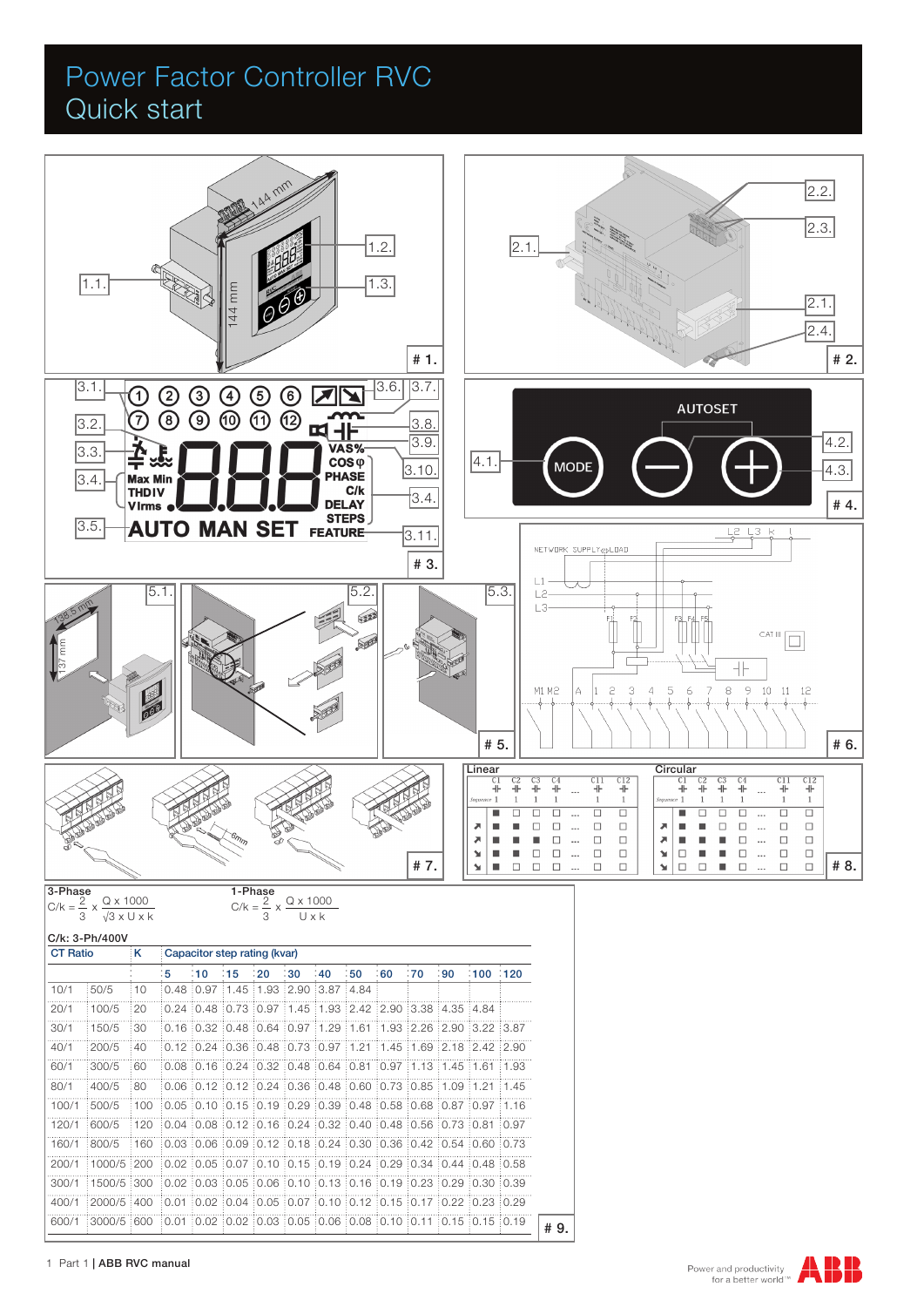## Power Factor Controller RVC Quick start